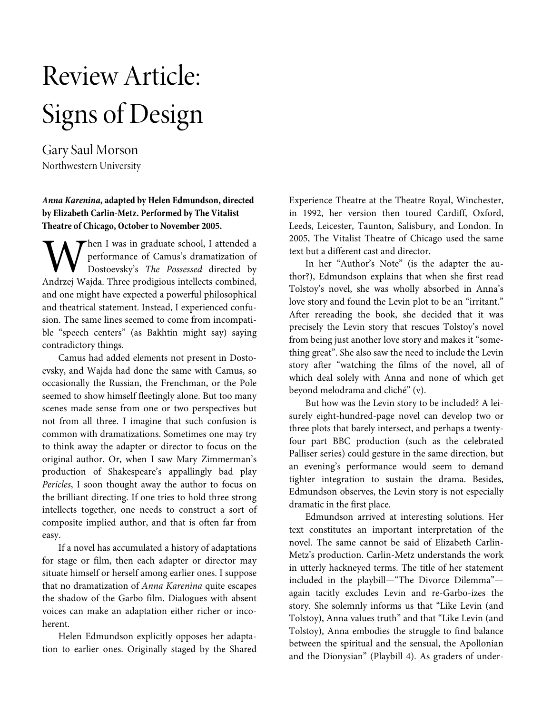# Review Article: Signs of Design

Gary Saul Morson Northwestern University

# **Anna Karenina, adapted by Helen Edmundson, directed by Elizabeth Carlin-Metz. Performed by The Vitalist Theatre of Chicago, October to November 2005.**

Then I was in graduate school, I attended a performance of Camus's dramatization of Dostoevsky's The Possessed directed by **AN** hen I was in graduate school, I attended a performance of Camus's dramatization of Dostoevsky's *The Possessed* directed by Andrzej Wajda. Three prodigious intellects combined, and one might have expected a powerful philosophical and theatrical statement. Instead, I experienced confusion. The same lines seemed to come from incompatible "speech centers" (as Bakhtin might say) saying contradictory things.

Camus had added elements not present in Dostoevsky, and Wajda had done the same with Camus, so occasionally the Russian, the Frenchman, or the Pole seemed to show himself fleetingly alone. But too many scenes made sense from one or two perspectives but not from all three. I imagine that such confusion is common with dramatizations. Sometimes one may try to think away the adapter or director to focus on the original author. Or, when I saw Mary Zimmerman's production of Shakespeare's appallingly bad play Pericles, I soon thought away the author to focus on the brilliant directing. If one tries to hold three strong intellects together, one needs to construct a sort of composite implied author, and that is often far from easy.

If a novel has accumulated a history of adaptations for stage or film, then each adapter or director may situate himself or herself among earlier ones. I suppose that no dramatization of Anna Karenina quite escapes the shadow of the Garbo film. Dialogues with absent voices can make an adaptation either richer or incoherent.

Helen Edmundson explicitly opposes her adaptation to earlier ones. Originally staged by the Shared Experience Theatre at the Theatre Royal, Winchester, in 1992, her version then toured Cardiff, Oxford, Leeds, Leicester, Taunton, Salisbury, and London. In 2005, The Vitalist Theatre of Chicago used the same text but a different cast and director.

In her "Author's Note" (is the adapter the author?), Edmundson explains that when she first read Tolstoy's novel, she was wholly absorbed in Anna's love story and found the Levin plot to be an "irritant." After rereading the book, she decided that it was precisely the Levin story that rescues Tolstoy's novel from being just another love story and makes it "something great". She also saw the need to include the Levin story after "watching the films of the novel, all of which deal solely with Anna and none of which get beyond melodrama and cliché" (v).

But how was the Levin story to be included? A leisurely eight-hundred-page novel can develop two or three plots that barely intersect, and perhaps a twentyfour part BBC production (such as the celebrated Palliser series) could gesture in the same direction, but an evening's performance would seem to demand tighter integration to sustain the drama. Besides, Edmundson observes, the Levin story is not especially dramatic in the first place.

Edmundson arrived at interesting solutions. Her text constitutes an important interpretation of the novel. The same cannot be said of Elizabeth Carlin-Metz's production. Carlin-Metz understands the work in utterly hackneyed terms. The title of her statement included in the playbill—"The Divorce Dilemma" again tacitly excludes Levin and re-Garbo-izes the story. She solemnly informs us that "Like Levin (and Tolstoy), Anna values truth" and that "Like Levin (and Tolstoy), Anna embodies the struggle to find balance between the spiritual and the sensual, the Apollonian and the Dionysian" (Playbill 4). As graders of under-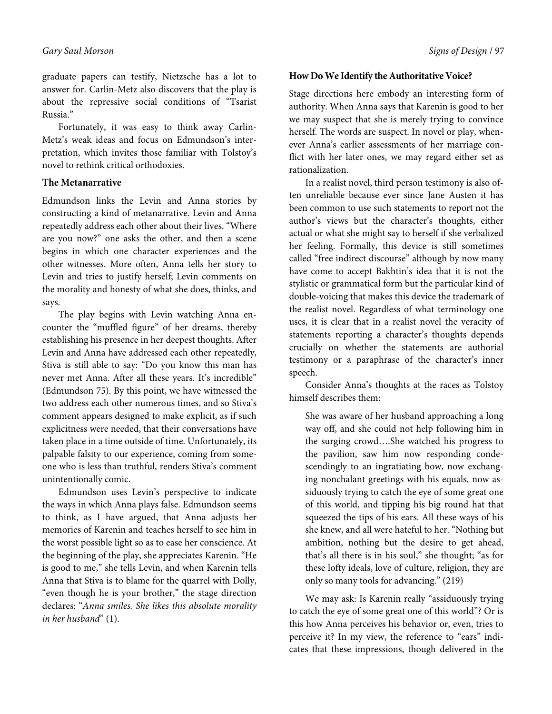graduate papers can testify, Nietzsche has a lot to answer for. Carlin-Metz also discovers that the play is about the repressive social conditions of "Tsarist Russia."

Fortunately, it was easy to think away Carlin-Metz's weak ideas and focus on Edmundson's interpretation, which invites those familiar with Tolstoy's novel to rethink critical orthodoxies.

## **The Metanarrative**

Edmundson links the Levin and Anna stories by constructing a kind of metanarrative. Levin and Anna repeatedly address each other about their lives. "Where are you now?" one asks the other, and then a scene begins in which one character experiences and the other witnesses. More often, Anna tells her story to Levin and tries to justify herself; Levin comments on the morality and honesty of what she does, thinks, and says.

The play begins with Levin watching Anna encounter the "muffled figure" of her dreams, thereby establishing his presence in her deepest thoughts. After Levin and Anna have addressed each other repeatedly, Stiva is still able to say: "Do you know this man has never met Anna. After all these years. It's incredible" (Edmundson 75). By this point, we have witnessed the two address each other numerous times, and so Stiva's comment appears designed to make explicit, as if such explicitness were needed, that their conversations have taken place in a time outside of time. Unfortunately, its palpable falsity to our experience, coming from someone who is less than truthful, renders Stiva's comment unintentionally comic.

Edmundson uses Levin's perspective to indicate the ways in which Anna plays false. Edmundson seems to think, as I have argued, that Anna adjusts her memories of Karenin and teaches herself to see him in the worst possible light so as to ease her conscience. At the beginning of the play, she appreciates Karenin. "He is good to me," she tells Levin, and when Karenin tells Anna that Stiva is to blame for the quarrel with Dolly, "even though he is your brother," the stage direction declares: "Anna smiles. She likes this absolute morality in her husband" (1).

## **How Do We Identify the Authoritative Voice?**

Stage directions here embody an interesting form of authority. When Anna says that Karenin is good to her we may suspect that she is merely trying to convince herself. The words are suspect. In novel or play, whenever Anna's earlier assessments of her marriage conflict with her later ones, we may regard either set as rationalization.

In a realist novel, third person testimony is also often unreliable because ever since Jane Austen it has been common to use such statements to report not the author's views but the character's thoughts, either actual or what she might say to herself if she verbalized her feeling. Formally, this device is still sometimes called "free indirect discourse" although by now many have come to accept Bakhtin's idea that it is not the stylistic or grammatical form but the particular kind of double-voicing that makes this device the trademark of the realist novel. Regardless of what terminology one uses, it is clear that in a realist novel the veracity of statements reporting a character's thoughts depends crucially on whether the statements are authorial testimony or a paraphrase of the character's inner speech.

Consider Anna's thoughts at the races as Tolstoy himself describes them:

She was aware of her husband approaching a long way off, and she could not help following him in the surging crowd….She watched his progress to the pavilion, saw him now responding condescendingly to an ingratiating bow, now exchanging nonchalant greetings with his equals, now assiduously trying to catch the eye of some great one of this world, and tipping his big round hat that squeezed the tips of his ears. All these ways of his she knew, and all were hateful to her. "Nothing but ambition, nothing but the desire to get ahead, that's all there is in his soul," she thought; "as for these lofty ideals, love of culture, religion, they are only so many tools for advancing." (219)

We may ask: Is Karenin really "assiduously trying to catch the eye of some great one of this world"? Or is this how Anna perceives his behavior or, even, tries to perceive it? In my view, the reference to "ears" indicates that these impressions, though delivered in the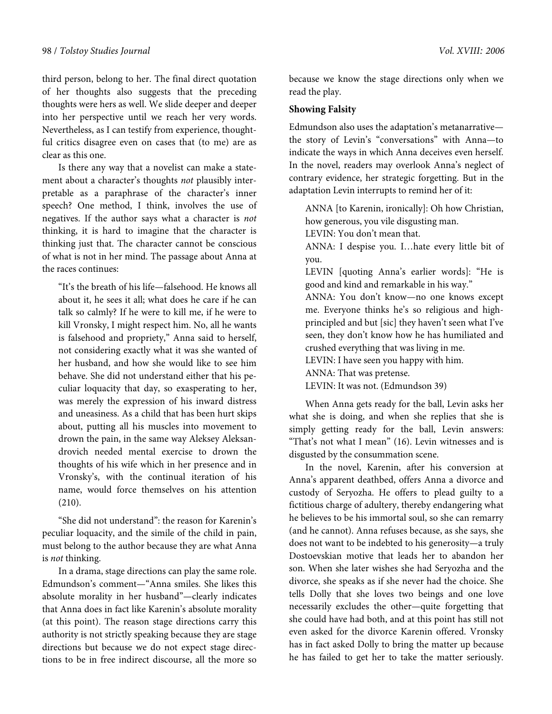third person, belong to her. The final direct quotation of her thoughts also suggests that the preceding thoughts were hers as well. We slide deeper and deeper into her perspective until we reach her very words. Nevertheless, as I can testify from experience, thoughtful critics disagree even on cases that (to me) are as clear as this one.

Is there any way that a novelist can make a statement about a character's thoughts not plausibly interpretable as a paraphrase of the character's inner speech? One method, I think, involves the use of negatives. If the author says what a character is not thinking, it is hard to imagine that the character is thinking just that. The character cannot be conscious of what is not in her mind. The passage about Anna at the races continues:

"It's the breath of his life—falsehood. He knows all about it, he sees it all; what does he care if he can talk so calmly? If he were to kill me, if he were to kill Vronsky, I might respect him. No, all he wants is falsehood and propriety," Anna said to herself, not considering exactly what it was she wanted of her husband, and how she would like to see him behave. She did not understand either that his peculiar loquacity that day, so exasperating to her, was merely the expression of his inward distress and uneasiness. As a child that has been hurt skips about, putting all his muscles into movement to drown the pain, in the same way Aleksey Aleksandrovich needed mental exercise to drown the thoughts of his wife which in her presence and in Vronsky's, with the continual iteration of his name, would force themselves on his attention (210).

"She did not understand": the reason for Karenin's peculiar loquacity, and the simile of the child in pain, must belong to the author because they are what Anna is not thinking.

In a drama, stage directions can play the same role. Edmundson's comment—"Anna smiles. She likes this absolute morality in her husband"—clearly indicates that Anna does in fact like Karenin's absolute morality (at this point). The reason stage directions carry this authority is not strictly speaking because they are stage directions but because we do not expect stage directions to be in free indirect discourse, all the more so

because we know the stage directions only when we read the play.

# **Showing Falsity**

Edmundson also uses the adaptation's metanarrative the story of Levin's "conversations" with Anna—to indicate the ways in which Anna deceives even herself. In the novel, readers may overlook Anna's neglect of contrary evidence, her strategic forgetting. But in the adaptation Levin interrupts to remind her of it:

ANNA [to Karenin, ironically]: Oh how Christian, how generous, you vile disgusting man.

LEVIN: You don't mean that.

ANNA: I despise you. I…hate every little bit of you.

LEVIN [quoting Anna's earlier words]: "He is good and kind and remarkable in his way."

ANNA: You don't know—no one knows except me. Everyone thinks he's so religious and highprincipled and but [sic] they haven't seen what I've seen, they don't know how he has humiliated and crushed everything that was living in me.

LEVIN: I have seen you happy with him.

ANNA: That was pretense.

LEVIN: It was not. (Edmundson 39)

When Anna gets ready for the ball, Levin asks her what she is doing, and when she replies that she is simply getting ready for the ball, Levin answers: "That's not what I mean" (16). Levin witnesses and is disgusted by the consummation scene.

In the novel, Karenin, after his conversion at Anna's apparent deathbed, offers Anna a divorce and custody of Seryozha. He offers to plead guilty to a fictitious charge of adultery, thereby endangering what he believes to be his immortal soul, so she can remarry (and he cannot). Anna refuses because, as she says, she does not want to be indebted to his generosity—a truly Dostoevskian motive that leads her to abandon her son. When she later wishes she had Seryozha and the divorce, she speaks as if she never had the choice. She tells Dolly that she loves two beings and one love necessarily excludes the other—quite forgetting that she could have had both, and at this point has still not even asked for the divorce Karenin offered. Vronsky has in fact asked Dolly to bring the matter up because he has failed to get her to take the matter seriously.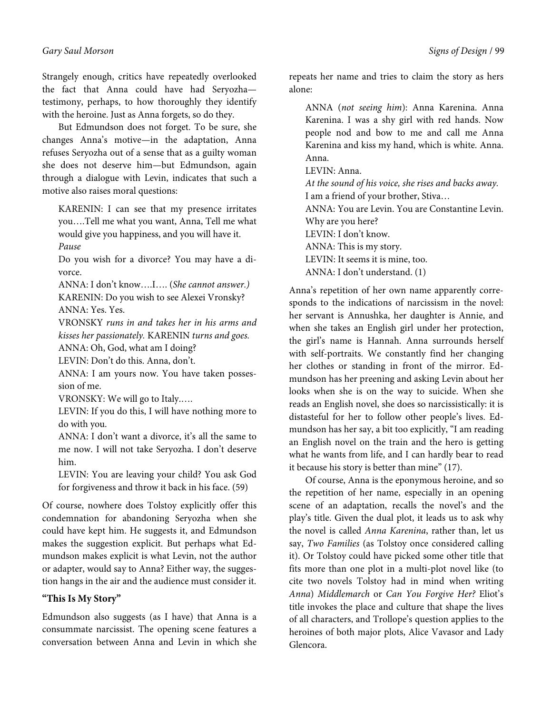Strangely enough, critics have repeatedly overlooked the fact that Anna could have had Seryozha testimony, perhaps, to how thoroughly they identify with the heroine. Just as Anna forgets, so do they.

But Edmundson does not forget. To be sure, she changes Anna's motive—in the adaptation, Anna refuses Seryozha out of a sense that as a guilty woman she does not deserve him—but Edmundson, again through a dialogue with Levin, indicates that such a motive also raises moral questions:

KARENIN: I can see that my presence irritates you….Tell me what you want, Anna, Tell me what would give you happiness, and you will have it. Pause

Do you wish for a divorce? You may have a divorce.

ANNA: I don't know….I…. (She cannot answer.) KARENIN: Do you wish to see Alexei Vronsky? ANNA: Yes. Yes.

VRONSKY runs in and takes her in his arms and kisses her passionately. KARENIN turns and goes.

ANNA: Oh, God, what am I doing?

LEVIN: Don't do this. Anna, don't.

ANNA: I am yours now. You have taken possession of me.

VRONSKY: We will go to Italy.….

LEVIN: If you do this, I will have nothing more to do with you.

ANNA: I don't want a divorce, it's all the same to me now. I will not take Seryozha. I don't deserve him.

LEVIN: You are leaving your child? You ask God for forgiveness and throw it back in his face. (59)

Of course, nowhere does Tolstoy explicitly offer this condemnation for abandoning Seryozha when she could have kept him. He suggests it, and Edmundson makes the suggestion explicit. But perhaps what Edmundson makes explicit is what Levin, not the author or adapter, would say to Anna? Either way, the suggestion hangs in the air and the audience must consider it.

# **"This Is My Story"**

Edmundson also suggests (as I have) that Anna is a consummate narcissist. The opening scene features a conversation between Anna and Levin in which she

repeats her name and tries to claim the story as hers alone:

ANNA (not seeing him): Anna Karenina. Anna Karenina. I was a shy girl with red hands. Now people nod and bow to me and call me Anna Karenina and kiss my hand, which is white. Anna. Anna.

LEVIN: Anna.

At the sound of his voice, she rises and backs away. I am a friend of your brother, Stiva… ANNA: You are Levin. You are Constantine Levin. Why are you here? LEVIN: I don't know. ANNA: This is my story. LEVIN: It seems it is mine, too. ANNA: I don't understand. (1)

Anna's repetition of her own name apparently corresponds to the indications of narcissism in the novel: her servant is Annushka, her daughter is Annie, and when she takes an English girl under her protection, the girl's name is Hannah. Anna surrounds herself with self-portraits. We constantly find her changing her clothes or standing in front of the mirror. Edmundson has her preening and asking Levin about her looks when she is on the way to suicide. When she reads an English novel, she does so narcissistically: it is distasteful for her to follow other people's lives. Edmundson has her say, a bit too explicitly, "I am reading an English novel on the train and the hero is getting what he wants from life, and I can hardly bear to read it because his story is better than mine" (17).

Of course, Anna is the eponymous heroine, and so the repetition of her name, especially in an opening scene of an adaptation, recalls the novel's and the play's title. Given the dual plot, it leads us to ask why the novel is called Anna Karenina, rather than, let us say, Two Families (as Tolstoy once considered calling it). Or Tolstoy could have picked some other title that fits more than one plot in a multi-plot novel like (to cite two novels Tolstoy had in mind when writing Anna) Middlemarch or Can You Forgive Her? Eliot's title invokes the place and culture that shape the lives of all characters, and Trollope's question applies to the heroines of both major plots, Alice Vavasor and Lady Glencora.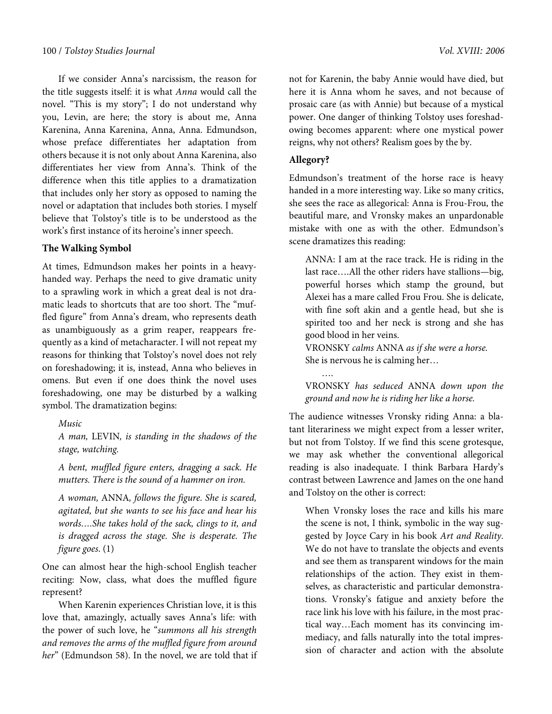If we consider Anna's narcissism, the reason for the title suggests itself: it is what Anna would call the novel. "This is my story"; I do not understand why you, Levin, are here; the story is about me, Anna Karenina, Anna Karenina, Anna, Anna. Edmundson, whose preface differentiates her adaptation from others because it is not only about Anna Karenina, also differentiates her view from Anna's. Think of the difference when this title applies to a dramatization that includes only her story as opposed to naming the novel or adaptation that includes both stories. I myself believe that Tolstoy's title is to be understood as the work's first instance of its heroine's inner speech.

# **The Walking Symbol**

At times, Edmundson makes her points in a heavyhanded way. Perhaps the need to give dramatic unity to a sprawling work in which a great deal is not dramatic leads to shortcuts that are too short. The "muffled figure" from Anna's dream, who represents death as unambiguously as a grim reaper, reappears frequently as a kind of metacharacter. I will not repeat my reasons for thinking that Tolstoy's novel does not rely on foreshadowing; it is, instead, Anna who believes in omens. But even if one does think the novel uses foreshadowing, one may be disturbed by a walking symbol. The dramatization begins:

Music

A man, LEVIN, is standing in the shadows of the stage, watching.

A bent, muffled figure enters, dragging a sack. He mutters. There is the sound of a hammer on iron.

A woman, ANNA, follows the figure. She is scared, agitated, but she wants to see his face and hear his words….She takes hold of the sack, clings to it, and is dragged across the stage. She is desperate. The figure goes. (1)

One can almost hear the high-school English teacher reciting: Now, class, what does the muffled figure represent?

When Karenin experiences Christian love, it is this love that, amazingly, actually saves Anna's life: with the power of such love, he "summons all his strength and removes the arms of the muffled figure from around her" (Edmundson 58). In the novel, we are told that if not for Karenin, the baby Annie would have died, but here it is Anna whom he saves, and not because of prosaic care (as with Annie) but because of a mystical power. One danger of thinking Tolstoy uses foreshadowing becomes apparent: where one mystical power reigns, why not others? Realism goes by the by.

## **Allegory?**

….

Edmundson's treatment of the horse race is heavy handed in a more interesting way. Like so many critics, she sees the race as allegorical: Anna is Frou-Frou, the beautiful mare, and Vronsky makes an unpardonable mistake with one as with the other. Edmundson's scene dramatizes this reading:

ANNA: I am at the race track. He is riding in the last race….All the other riders have stallions—big, powerful horses which stamp the ground, but Alexei has a mare called Frou Frou. She is delicate, with fine soft akin and a gentle head, but she is spirited too and her neck is strong and she has good blood in her veins.

VRONSKY calms ANNA as if she were a horse. She is nervous he is calming her…

VRONSKY has seduced ANNA down upon the ground and now he is riding her like a horse.

The audience witnesses Vronsky riding Anna: a blatant literariness we might expect from a lesser writer, but not from Tolstoy. If we find this scene grotesque, we may ask whether the conventional allegorical reading is also inadequate. I think Barbara Hardy's contrast between Lawrence and James on the one hand and Tolstoy on the other is correct:

When Vronsky loses the race and kills his mare the scene is not, I think, symbolic in the way suggested by Joyce Cary in his book Art and Reality. We do not have to translate the objects and events and see them as transparent windows for the main relationships of the action. They exist in themselves, as characteristic and particular demonstrations. Vronsky's fatigue and anxiety before the race link his love with his failure, in the most practical way…Each moment has its convincing immediacy, and falls naturally into the total impression of character and action with the absolute